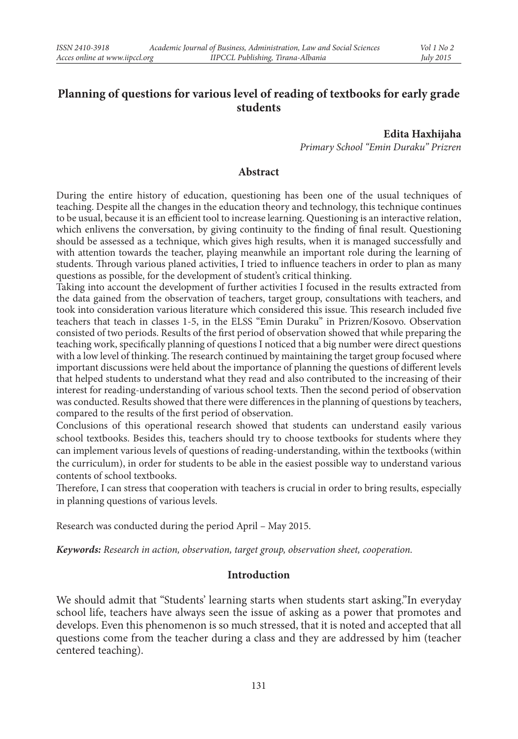# **Planning of questions for various level of reading of textbooks for early grade students**

**Edita Haxhijaha** *Primary School "Emin Duraku" Prizren*

#### **Abstract**

During the entire history of education, questioning has been one of the usual techniques of teaching. Despite all the changes in the education theory and technology, this technique continues to be usual, because it is an efficient tool to increase learning. Questioning is an interactive relation, which enlivens the conversation, by giving continuity to the finding of final result. Questioning should be assessed as a technique, which gives high results, when it is managed successfully and with attention towards the teacher, playing meanwhile an important role during the learning of students. Through various planed activities, I tried to influence teachers in order to plan as many questions as possible, for the development of student's critical thinking.

Taking into account the development of further activities I focused in the results extracted from the data gained from the observation of teachers, target group, consultations with teachers, and took into consideration various literature which considered this issue. This research included five teachers that teach in classes 1-5, in the ELSS "Emin Duraku" in Prizren/Kosovo. Observation consisted of two periods. Results of the first period of observation showed that while preparing the teaching work, specifically planning of questions I noticed that a big number were direct questions with a low level of thinking. The research continued by maintaining the target group focused where important discussions were held about the importance of planning the questions of different levels that helped students to understand what they read and also contributed to the increasing of their interest for reading-understanding of various school texts. Then the second period of observation was conducted. Results showed that there were differences in the planning of questions by teachers, compared to the results of the first period of observation.

Conclusions of this operational research showed that students can understand easily various school textbooks. Besides this, teachers should try to choose textbooks for students where they can implement various levels of questions of reading-understanding, within the textbooks (within the curriculum), in order for students to be able in the easiest possible way to understand various contents of school textbooks.

Therefore, I can stress that cooperation with teachers is crucial in order to bring results, especially in planning questions of various levels.

Research was conducted during the period April – May 2015.

*Keywords: Research in action, observation, target group, observation sheet, cooperation.*

#### **Introduction**

We should admit that "Students' learning starts when students start asking."In everyday school life, teachers have always seen the issue of asking as a power that promotes and develops. Even this phenomenon is so much stressed, that it is noted and accepted that all questions come from the teacher during a class and they are addressed by him (teacher centered teaching).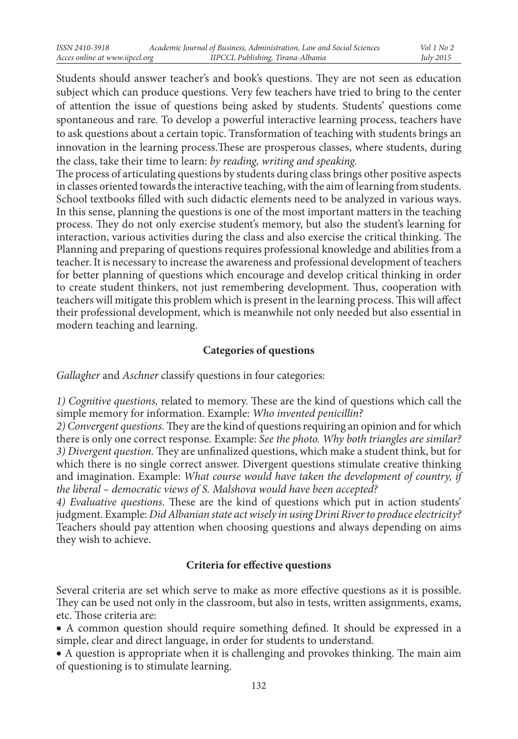Students should answer teacher's and book's questions. They are not seen as education subject which can produce questions. Very few teachers have tried to bring to the center of attention the issue of questions being asked by students. Students' questions come spontaneous and rare. To develop a powerful interactive learning process, teachers have to ask questions about a certain topic. Transformation of teaching with students brings an innovation in the learning process.These are prosperous classes, where students, during the class, take their time to learn: *by reading, writing and speaking.* 

The process of articulating questions by students during class brings other positive aspects in classes oriented towards the interactive teaching, with the aim of learning from students. School textbooks filled with such didactic elements need to be analyzed in various ways. In this sense, planning the questions is one of the most important matters in the teaching process. They do not only exercise student's memory, but also the student's learning for interaction, various activities during the class and also exercise the critical thinking. The Planning and preparing of questions requires professional knowledge and abilities from a teacher. It is necessary to increase the awareness and professional development of teachers for better planning of questions which encourage and develop critical thinking in order to create student thinkers, not just remembering development. Thus, cooperation with teachers will mitigate this problem which is present in the learning process. This will affect their professional development, which is meanwhile not only needed but also essential in modern teaching and learning.

### **Categories of questions**

*Gallagher* and *Aschner* classify questions in four categories:

*1) Cognitive questions,* related to memory. These are the kind of questions which call the simple memory for information. Example: *Who invented penicillin?*

*2) Convergent questions.* They are the kind of questions requiring an opinion and for which there is only one correct response*.* Example: *See the photo. Why both triangles are similar? 3) Divergent question.* They are unfinalized questions, which make a student think, but for which there is no single correct answer. Divergent questions stimulate creative thinking and imagination. Example: *What course would have taken the development of country, if the liberal – democratic views of S. Malshova would have been accepted?* 

*4) Evaluative questions*. These are the kind of questions which put in action students' judgment. Example: *Did Albanian state act wisely in using Drini River to produce electricity?* Teachers should pay attention when choosing questions and always depending on aims they wish to achieve.

# **Criteria for effective questions**

Several criteria are set which serve to make as more effective questions as it is possible. They can be used not only in the classroom, but also in tests, written assignments, exams, etc. Those criteria are:

• A common question should require something defined. It should be expressed in a simple, clear and direct language, in order for students to understand.

• A question is appropriate when it is challenging and provokes thinking. The main aim of questioning is to stimulate learning.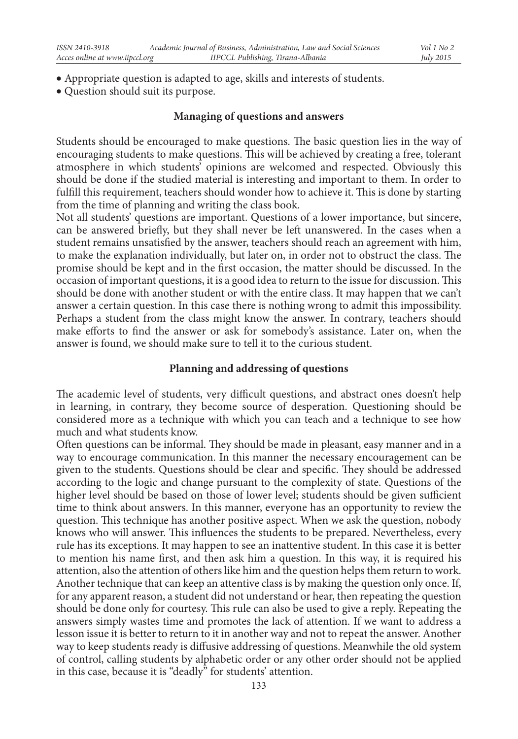- Appropriate question is adapted to age, skills and interests of students.
- Question should suit its purpose.

#### **Managing of questions and answers**

Students should be encouraged to make questions. The basic question lies in the way of encouraging students to make questions. This will be achieved by creating a free, tolerant atmosphere in which students' opinions are welcomed and respected. Obviously this should be done if the studied material is interesting and important to them. In order to fulfill this requirement, teachers should wonder how to achieve it. This is done by starting from the time of planning and writing the class book.

Not all students' questions are important. Questions of a lower importance, but sincere, can be answered briefly, but they shall never be left unanswered. In the cases when a student remains unsatisfied by the answer, teachers should reach an agreement with him, to make the explanation individually, but later on, in order not to obstruct the class. The promise should be kept and in the first occasion, the matter should be discussed. In the occasion of important questions, it is a good idea to return to the issue for discussion. This should be done with another student or with the entire class. It may happen that we can't answer a certain question. In this case there is nothing wrong to admit this impossibility. Perhaps a student from the class might know the answer. In contrary, teachers should make efforts to find the answer or ask for somebody's assistance. Later on, when the answer is found, we should make sure to tell it to the curious student.

#### **Planning and addressing of questions**

The academic level of students, very difficult questions, and abstract ones doesn't help in learning, in contrary, they become source of desperation. Questioning should be considered more as a technique with which you can teach and a technique to see how much and what students know.

Often questions can be informal. They should be made in pleasant, easy manner and in a way to encourage communication. In this manner the necessary encouragement can be given to the students. Questions should be clear and specific. They should be addressed according to the logic and change pursuant to the complexity of state. Questions of the higher level should be based on those of lower level; students should be given sufficient time to think about answers. In this manner, everyone has an opportunity to review the question. This technique has another positive aspect. When we ask the question, nobody knows who will answer. This influences the students to be prepared. Nevertheless, every rule has its exceptions. It may happen to see an inattentive student. In this case it is better to mention his name first, and then ask him a question. In this way, it is required his attention, also the attention of others like him and the question helps them return to work. Another technique that can keep an attentive class is by making the question only once. If, for any apparent reason, a student did not understand or hear, then repeating the question should be done only for courtesy. This rule can also be used to give a reply. Repeating the answers simply wastes time and promotes the lack of attention. If we want to address a lesson issue it is better to return to it in another way and not to repeat the answer. Another way to keep students ready is diffusive addressing of questions. Meanwhile the old system of control, calling students by alphabetic order or any other order should not be applied in this case, because it is "deadly" for students' attention.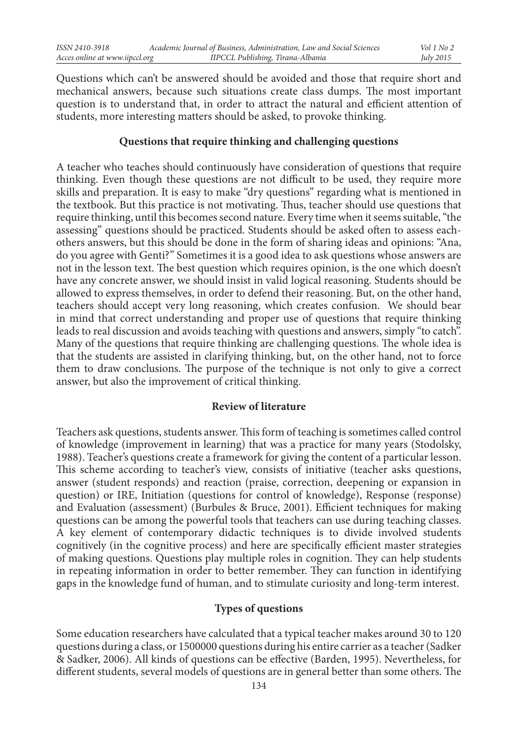Questions which can't be answered should be avoided and those that require short and mechanical answers, because such situations create class dumps. The most important question is to understand that, in order to attract the natural and efficient attention of students, more interesting matters should be asked, to provoke thinking.

#### **Questions that require thinking and challenging questions**

A teacher who teaches should continuously have consideration of questions that require thinking. Even though these questions are not difficult to be used, they require more skills and preparation. It is easy to make "dry questions" regarding what is mentioned in the textbook. But this practice is not motivating. Thus, teacher should use questions that require thinking, until this becomes second nature. Every time when it seems suitable, "the assessing" questions should be practiced. Students should be asked often to assess eachothers answers, but this should be done in the form of sharing ideas and opinions: "Ana, do you agree with Genti?" Sometimes it is a good idea to ask questions whose answers are not in the lesson text. The best question which requires opinion, is the one which doesn't have any concrete answer, we should insist in valid logical reasoning. Students should be allowed to express themselves, in order to defend their reasoning. But, on the other hand, teachers should accept very long reasoning, which creates confusion. We should bear in mind that correct understanding and proper use of questions that require thinking leads to real discussion and avoids teaching with questions and answers, simply "to catch". Many of the questions that require thinking are challenging questions. The whole idea is that the students are assisted in clarifying thinking, but, on the other hand, not to force them to draw conclusions. The purpose of the technique is not only to give a correct answer, but also the improvement of critical thinking.

#### **Review of literature**

Teachers ask questions, students answer. This form of teaching is sometimes called control of knowledge (improvement in learning) that was a practice for many years (Stodolsky, 1988). Teacher's questions create a framework for giving the content of a particular lesson. This scheme according to teacher's view, consists of initiative (teacher asks questions, answer (student responds) and reaction (praise, correction, deepening or expansion in question) or IRE, Initiation (questions for control of knowledge), Response (response) and Evaluation (assessment) (Burbules & Bruce, 2001). Efficient techniques for making questions can be among the powerful tools that teachers can use during teaching classes. A key element of contemporary didactic techniques is to divide involved students cognitively (in the cognitive process) and here are specifically efficient master strategies of making questions. Questions play multiple roles in cognition. They can help students in repeating information in order to better remember. They can function in identifying gaps in the knowledge fund of human, and to stimulate curiosity and long-term interest.

### **Types of questions**

Some education researchers have calculated that a typical teacher makes around 30 to 120 questions during a class, or 1500000 questions during his entire carrier as a teacher (Sadker & Sadker, 2006). All kinds of questions can be effective (Barden, 1995). Nevertheless, for different students, several models of questions are in general better than some others. The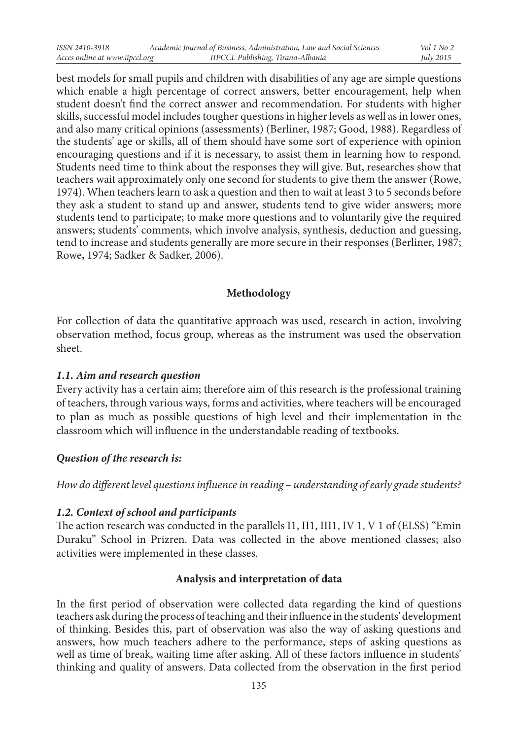best models for small pupils and children with disabilities of any age are simple questions which enable a high percentage of correct answers, better encouragement, help when student doesn't find the correct answer and recommendation. For students with higher skills, successful model includes tougher questions in higher levels as well as in lower ones, and also many critical opinions (assessments) (Berliner, 1987; Good, 1988). Regardless of the students' age or skills, all of them should have some sort of experience with opinion encouraging questions and if it is necessary, to assist them in learning how to respond. Students need time to think about the responses they will give. But, researches show that teachers wait approximately only one second for students to give them the answer (Rowe, 1974). When teachers learn to ask a question and then to wait at least 3 to 5 seconds before they ask a student to stand up and answer, students tend to give wider answers; more students tend to participate; to make more questions and to voluntarily give the required answers; students' comments, which involve analysis, synthesis, deduction and guessing, tend to increase and students generally are more secure in their responses (Berliner, 1987; Rowe**,** 1974; Sadker & Sadker, 2006).

# **Methodology**

For collection of data the quantitative approach was used, research in action, involving observation method, focus group, whereas as the instrument was used the observation sheet.

## *1.1. Aim and research question*

Every activity has a certain aim; therefore aim of this research is the professional training of teachers, through various ways, forms and activities, where teachers will be encouraged to plan as much as possible questions of high level and their implementation in the classroom which will influence in the understandable reading of textbooks.

# *Question of the research is:*

*How do different level questions influence in reading – understanding of early grade students?*

# *1.2. Context of school and participants*

The action research was conducted in the parallels I1, II1, III1, IV 1, V 1 of (ELSS) "Emin Duraku" School in Prizren. Data was collected in the above mentioned classes; also activities were implemented in these classes.

# **Analysis and interpretation of data**

In the first period of observation were collected data regarding the kind of questions teachers ask during the process of teaching and their influence in the students' development of thinking. Besides this, part of observation was also the way of asking questions and answers, how much teachers adhere to the performance, steps of asking questions as well as time of break, waiting time after asking. All of these factors influence in students' thinking and quality of answers. Data collected from the observation in the first period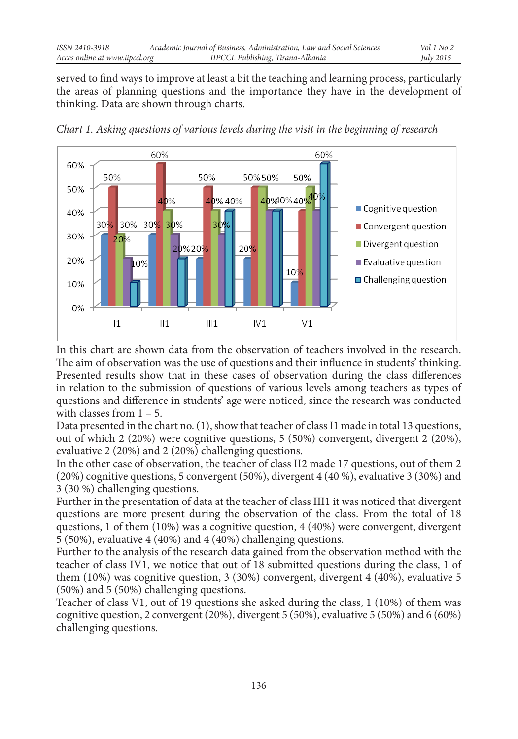served to find ways to improve at least a bit the teaching and learning process, particularly the areas of planning questions and the importance they have in the development of thinking. Data are shown through charts.





In this chart are shown data from the observation of teachers involved in the research. The aim of observation was the use of questions and their influence in students' thinking. Presented results show that in these cases of observation during the class differences in relation to the submission of questions of various levels among teachers as types of questions and difference in students' age were noticed, since the research was conducted with classes from  $1 - 5$ .

Data presented in the chart no. (1), show that teacher of class I1 made in total 13 questions, out of which 2 (20%) were cognitive questions, 5 (50%) convergent, divergent 2 (20%), evaluative 2 (20%) and 2 (20%) challenging questions.

In the other case of observation, the teacher of class II2 made 17 questions, out of them 2 (20%) cognitive questions, 5 convergent (50%), divergent 4 (40 %), evaluative 3 (30%) and 3 (30 %) challenging questions.

Further in the presentation of data at the teacher of class III1 it was noticed that divergent questions are more present during the observation of the class. From the total of 18 questions, 1 of them (10%) was a cognitive question, 4 (40%) were convergent, divergent 5 (50%), evaluative 4 (40%) and 4 (40%) challenging questions.

Further to the analysis of the research data gained from the observation method with the teacher of class IV1, we notice that out of 18 submitted questions during the class, 1 of them (10%) was cognitive question, 3 (30%) convergent, divergent 4 (40%), evaluative 5 (50%) and 5 (50%) challenging questions.

Teacher of class V1, out of 19 questions she asked during the class, 1 (10%) of them was cognitive question, 2 convergent (20%), divergent 5 (50%), evaluative 5 (50%) and 6 (60%) challenging questions.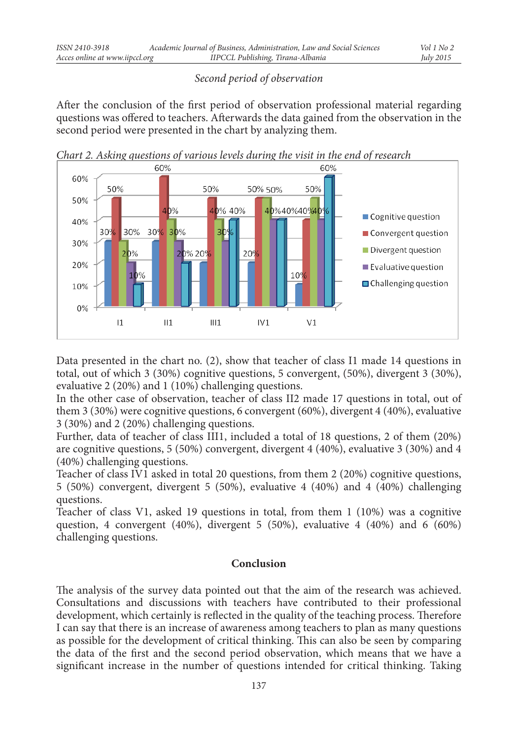## *Second period of observation*

After the conclusion of the first period of observation professional material regarding questions was offered to teachers. Afterwards the data gained from the observation in the second period were presented in the chart by analyzing them.





Data presented in the chart no. (2), show that teacher of class I1 made 14 questions in total, out of which 3 (30%) cognitive questions, 5 convergent, (50%), divergent 3 (30%), evaluative 2 (20%) and 1 (10%) challenging questions.

In the other case of observation, teacher of class II2 made 17 questions in total, out of them 3 (30%) were cognitive questions, 6 convergent (60%), divergent 4 (40%), evaluative 3 (30%) and 2 (20%) challenging questions.

Further, data of teacher of class III1, included a total of 18 questions, 2 of them (20%) are cognitive questions, 5 (50%) convergent, divergent 4 (40%), evaluative 3 (30%) and 4 (40%) challenging questions.

Teacher of class IV1 asked in total 20 questions, from them 2 (20%) cognitive questions, 5 (50%) convergent, divergent 5 (50%), evaluative 4 (40%) and 4 (40%) challenging questions.

Teacher of class V1, asked 19 questions in total, from them 1 (10%) was a cognitive question, 4 convergent (40%), divergent 5 (50%), evaluative 4 (40%) and 6 (60%) challenging questions.

### **Conclusion**

The analysis of the survey data pointed out that the aim of the research was achieved. Consultations and discussions with teachers have contributed to their professional development, which certainly is reflected in the quality of the teaching process. Therefore I can say that there is an increase of awareness among teachers to plan as many questions as possible for the development of critical thinking. This can also be seen by comparing the data of the first and the second period observation, which means that we have a significant increase in the number of questions intended for critical thinking. Taking